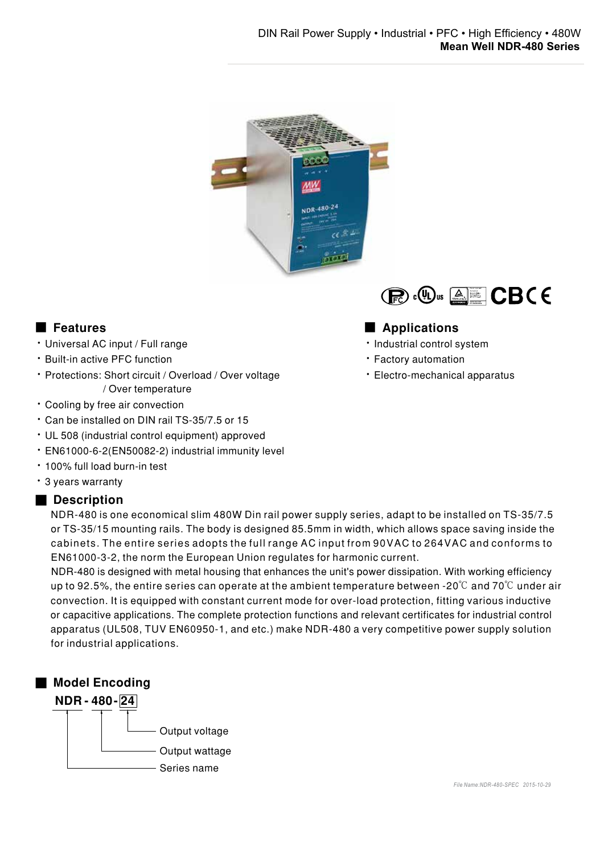

- Universal AC input / Full range
- **· Built-in active PFC function**
- Protections: Short circuit / Overload / Over voltage / Over temperature
- Cooling by free air convection
- Can be installed on DIN rail TS-35/7.5 or 15
- UL 508 (industrial control equipment) approved
- · EN61000-6-2(EN50082-2) industrial immunity level
- · 100% full load burn-in test
- · 3 years warranty

### ■ Description

NDR-480 is one economical slim 480W Din rail power supply series, adapt to be installed on TS-35/7.5 or TS-35/15 mounting rails. The body is designed 85.5mm in width, which allows space saving inside the cabinets. The entire series adopts the full range AC input from 90VAC to 264VAC and conforms to EN61000-3-2, the norm the European Union regulates for harmonic current.

NDR-480 is designed with metal housing that enhances the unit's power dissipation. With working efficiency up to 92.5%, the entire series can operate at the ambient temperature between -20 $\degree$ C and 70 $\degree$ C under air convection. It is equipped with constant current mode for over-load protection, fitting various inductive or capacitive applications. The complete protection functions and relevant certificates for industrial control apparatus (UL508, TUV EN60950-1, and etc.) make NDR-480 a very competitive power supply solution for industrial applications.



# **Bauart gepruft<br>Sicherheit<br>Fegelma gap<br>Frieducture<br>Sierrachurg<br><b>www.fav.com**<br>ID 2000000000

## ■ Features ■ Preatures ■ Preatures ■ Preature and Present and Present and Present and Present and Present and Present and Present and Present and Present and Present and Present and Present and Present and Present and Pre

- · Industrial control system
- Factory automation
- · Electro-mechanical apparatus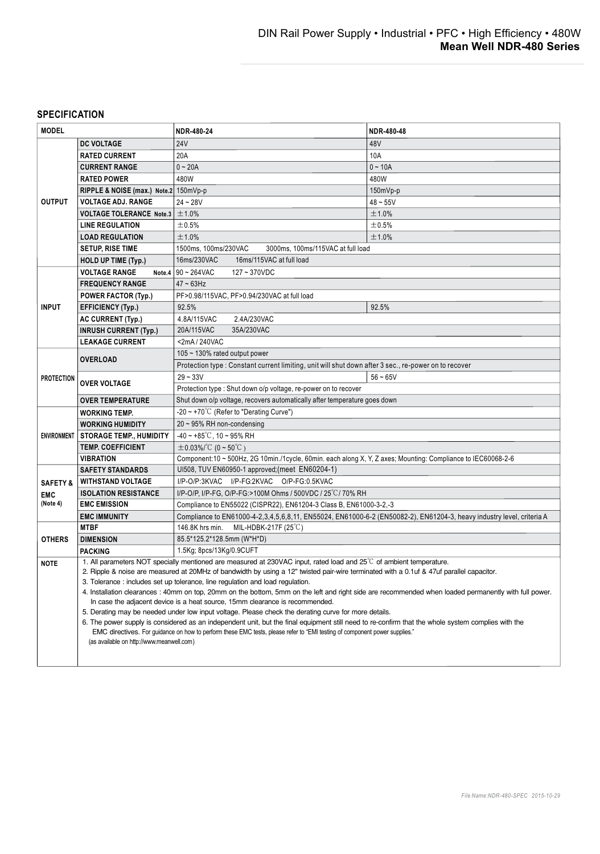### **SPECIFICATION**

| <b>MODEL</b>                                                               |                                                                                                                                                                                      | NDR-480-24                                                                                                            | NDR-480-48 |  |
|----------------------------------------------------------------------------|--------------------------------------------------------------------------------------------------------------------------------------------------------------------------------------|-----------------------------------------------------------------------------------------------------------------------|------------|--|
|                                                                            | <b>DC VOLTAGE</b>                                                                                                                                                                    | <b>24V</b>                                                                                                            | 48V        |  |
| <b>OUTPUT</b>                                                              | <b>RATED CURRENT</b>                                                                                                                                                                 | 20A                                                                                                                   | 10A        |  |
|                                                                            | <b>CURRENT RANGE</b>                                                                                                                                                                 | $0 - 20A$                                                                                                             | $0 - 10A$  |  |
|                                                                            | <b>RATED POWER</b>                                                                                                                                                                   | 480W                                                                                                                  | 480W       |  |
|                                                                            | RIPPLE & NOISE (max.) Note.2 150mVp-p                                                                                                                                                |                                                                                                                       | 150mVp-p   |  |
|                                                                            | <b>VOLTAGE ADJ. RANGE</b>                                                                                                                                                            | $24 - 28V$                                                                                                            | $48 - 55V$ |  |
|                                                                            | <b>VOLTAGE TOLERANCE Note.3</b>                                                                                                                                                      | ±1.0%                                                                                                                 | ±1.0%      |  |
|                                                                            | <b>LINE REGULATION</b>                                                                                                                                                               | $\pm 0.5%$                                                                                                            | ±0.5%      |  |
|                                                                            | <b>LOAD REGULATION</b>                                                                                                                                                               | ±1.0%                                                                                                                 | $\pm$ 1.0% |  |
|                                                                            | <b>SETUP, RISE TIME</b>                                                                                                                                                              | 1500ms, 100ms/230VAC<br>3000ms, 100ms/115VAC at full load                                                             |            |  |
|                                                                            | <b>HOLD UP TIME (Typ.)</b>                                                                                                                                                           | 16ms/230VAC<br>16ms/115VAC at full load                                                                               |            |  |
| <b>VOLTAGE RANGE</b><br>Note.4 $90 \sim 264$ VAC<br>$127 - 370$ VDC        |                                                                                                                                                                                      |                                                                                                                       |            |  |
| <b>INPUT</b>                                                               | <b>FREQUENCY RANGE</b>                                                                                                                                                               | $47 - 63$ Hz                                                                                                          |            |  |
|                                                                            | <b>POWER FACTOR (Typ.)</b>                                                                                                                                                           | PF>0.98/115VAC, PF>0.94/230VAC at full load                                                                           |            |  |
|                                                                            | <b>EFFICIENCY (Typ.)</b>                                                                                                                                                             | 92.5%                                                                                                                 | 92.5%      |  |
|                                                                            | <b>AC CURRENT (Typ.)</b>                                                                                                                                                             | 4.8A/115VAC<br>2.4A/230VAC                                                                                            |            |  |
|                                                                            | <b>INRUSH CURRENT (Typ.)</b>                                                                                                                                                         | 35A/230VAC<br>20A/115VAC                                                                                              |            |  |
|                                                                            | <b>LEAKAGE CURRENT</b>                                                                                                                                                               | <2mA / 240VAC                                                                                                         |            |  |
| <b>PROTECTION</b>                                                          |                                                                                                                                                                                      | 105 ~ 130% rated output power                                                                                         |            |  |
|                                                                            | <b>OVERLOAD</b>                                                                                                                                                                      | Protection type : Constant current limiting, unit will shut down after 3 sec., re-power on to recover                 |            |  |
|                                                                            | <b>OVER VOLTAGE</b>                                                                                                                                                                  | $29 - 33V$                                                                                                            | $56 - 65V$ |  |
|                                                                            |                                                                                                                                                                                      | Protection type: Shut down o/p voltage, re-power on to recover                                                        |            |  |
|                                                                            | <b>OVER TEMPERATURE</b>                                                                                                                                                              | Shut down o/p voltage, recovers automatically after temperature goes down                                             |            |  |
|                                                                            | <b>WORKING TEMP.</b>                                                                                                                                                                 | -20 ~ +70 $^{\circ}$ C (Refer to "Derating Curve")                                                                    |            |  |
|                                                                            | <b>WORKING HUMIDITY</b>                                                                                                                                                              | 20 ~ 95% RH non-condensing                                                                                            |            |  |
|                                                                            | ENVIRONMENT   STORAGE TEMP., HUMIDITY                                                                                                                                                | $-40 - +85^{\circ}$ C, 10 ~ 95% RH                                                                                    |            |  |
|                                                                            | <b>TEMP. COEFFICIENT</b>                                                                                                                                                             | $\pm$ 0.03%/°C (0~50°C)                                                                                               |            |  |
|                                                                            | VIBRATION                                                                                                                                                                            | Component:10 ~ 500Hz, 2G 10min./1cycle, 60min. each along X, Y, Z axes; Mounting: Compliance to IEC60068-2-6          |            |  |
| UI508, TUV EN60950-1 approved; (meet EN60204-1)<br><b>SAFETY STANDARDS</b> |                                                                                                                                                                                      |                                                                                                                       |            |  |
| <b>SAFETY &amp;</b>                                                        | <b>WITHSTAND VOLTAGE</b>                                                                                                                                                             | I/P-O/P:3KVAC I/P-FG:2KVAC O/P-FG:0.5KVAC                                                                             |            |  |
| <b>EMC</b>                                                                 | <b>ISOLATION RESISTANCE</b>                                                                                                                                                          | I/P-O/P, I/P-FG, O/P-FG:>100M Ohms / 500VDC / 25°C/ 70% RH                                                            |            |  |
| (Note 4)                                                                   | <b>EMC EMISSION</b>                                                                                                                                                                  | Compliance to EN55022 (CISPR22), EN61204-3 Class B, EN61000-3-2,-3                                                    |            |  |
|                                                                            | <b>EMC IMMUNITY</b>                                                                                                                                                                  | Compliance to EN61000-4-2,3,4,5,6,8,11, EN55024, EN61000-6-2 (EN50082-2), EN61204-3, heavy industry level, criteria A |            |  |
| <b>OTHERS</b>                                                              | <b>MTBF</b>                                                                                                                                                                          | MIL-HDBK-217F (25 $\degree$ C)<br>146.8K hrs min.                                                                     |            |  |
|                                                                            | <b>DIMENSION</b>                                                                                                                                                                     | 85.5*125.2*128.5mm (W*H*D)                                                                                            |            |  |
|                                                                            | <b>PACKING</b>                                                                                                                                                                       | 1.5Kg; 8pcs/13Kg/0.9CUFT                                                                                              |            |  |
| <b>NOTE</b>                                                                |                                                                                                                                                                                      | 1. All parameters NOT specially mentioned are measured at 230VAC input, rated load and 25°C of ambient temperature.   |            |  |
|                                                                            | 2. Ripple & noise are measured at 20MHz of bandwidth by using a 12" twisted pair-wire terminated with a 0.1uf & 47uf parallel capacitor.                                             |                                                                                                                       |            |  |
|                                                                            |                                                                                                                                                                                      | 3. Tolerance: includes set up tolerance, line regulation and load regulation.                                         |            |  |
|                                                                            | 4. Installation clearances: 40mm on top, 20mm on the bottom, 5mm on the left and right side are recommended when loaded permanently with full power.                                 |                                                                                                                       |            |  |
|                                                                            | In case the adjacent device is a heat source, 15mm clearance is recommended.<br>5. Derating may be needed under low input voltage. Please check the derating curve for more details. |                                                                                                                       |            |  |
|                                                                            | 6. The power supply is considered as an independent unit, but the final equipment still need to re-confirm that the whole system complies with the                                   |                                                                                                                       |            |  |
|                                                                            | EMC directives. For guidance on how to perform these EMC tests, please refer to "EMI testing of component power supplies."<br>(as available on http://www.meanwell.com)              |                                                                                                                       |            |  |
|                                                                            |                                                                                                                                                                                      |                                                                                                                       |            |  |
|                                                                            |                                                                                                                                                                                      |                                                                                                                       |            |  |
|                                                                            |                                                                                                                                                                                      |                                                                                                                       |            |  |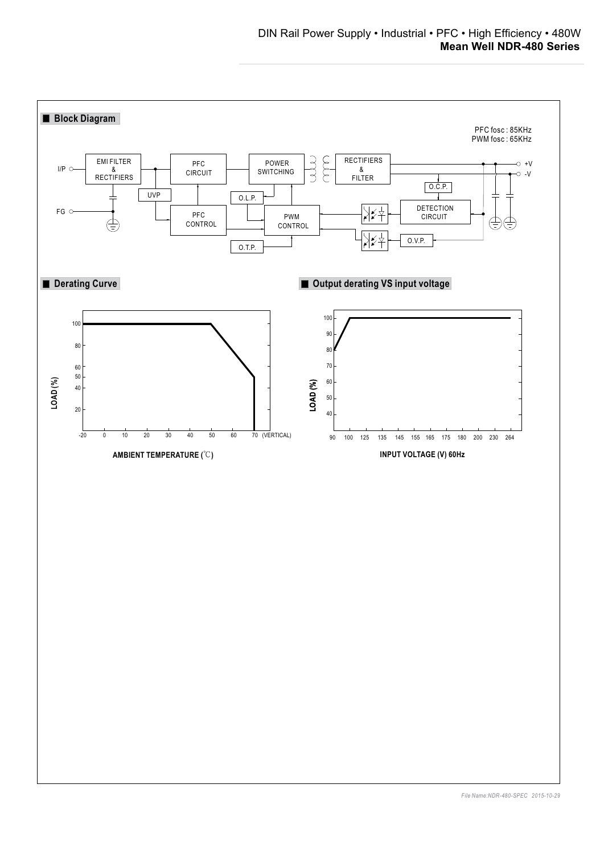